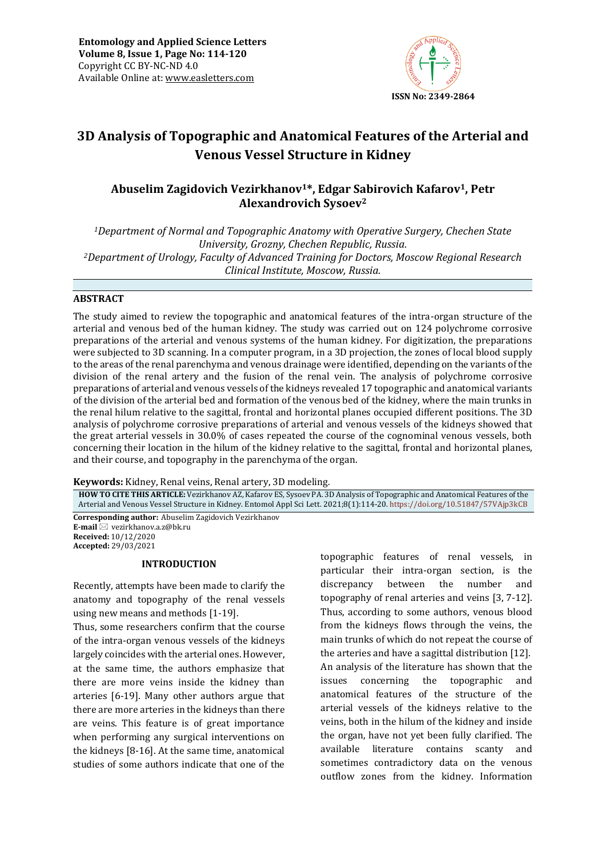

# **3D Analysis of Topographic and Anatomical Features of the Arterial and Venous Vessel Structure in Kidney**

# **Abuselim Zagidovich Vezirkhanov1\*, Edgar Sabirovich Kafarov1, Petr Alexandrovich Sysoev<sup>2</sup>**

*<sup>1</sup>Department of Normal and Topographic Anatomy with Operative Surgery, Chechen State University, Grozny, Chechen Republic, Russia. <sup>2</sup>Department of Urology, Faculty of Advanced Training for Doctors, Moscow Regional Research Clinical Institute, Moscow, Russia.*

# **ABSTRACT**

The study aimed to review the topographic and anatomical features of the intra-organ structure of the arterial and venous bed of the human kidney. The study was carried out on 124 polychrome corrosive preparations of the arterial and venous systems of the human kidney. For digitization, the preparations were subjected to 3D scanning. In a computer program, in a 3D projection, the zones of local blood supply to the areas of the renal parenchyma and venous drainage were identified, depending on the variants of the division of the renal artery and the fusion of the renal vein. The analysis of polychrome corrosive preparations of arterial and venous vessels of the kidneys revealed 17 topographic and anatomical variants of the division of the arterial bed and formation of the venous bed of the kidney, where the main trunks in the renal hilum relative to the sagittal, frontal and horizontal planes occupied different positions. The 3D analysis of polychrome corrosive preparations of arterial and venous vessels of the kidneys showed that the great arterial vessels in 30.0% of cases repeated the course of the cognominal venous vessels, both concerning their location in the hilum of the kidney relative to the sagittal, frontal and horizontal planes, and their course, and topography in the parenchyma of the organ.

**Keywords:** Kidney, Renal veins, Renal artery, 3D modeling*.*

**HOW TO CITE THIS ARTICLE:** Vezirkhanov AZ, Kafarov ES, Sysoev PA. 3D Analysis of Topographic and Anatomical Features of the Arterial and Venous Vessel Structure in Kidney. Entomol Appl Sci Lett. 2021;8(1):114-20. <https://doi.org/10.51847/57VAjp3kCB>

**Corresponding author:** Abuselim Zagidovich Vezirkhanov **E-mail** ⊠ vezirkhanov.a.z@bk.ru **Received:** 10/12/2020 **Accepted:** 29/03/2021

# **INTRODUCTION**

Recently, attempts have been made to clarify the anatomy and topography of the renal vessels using new means and methods [1-19].

Thus, some researchers confirm that the course of the intra-organ venous vessels of the kidneys largely coincides with the arterial ones. However, at the same time, the authors emphasize that there are more veins inside the kidney than arteries [6-19]. Many other authors argue that there are more arteries in the kidneys than there are veins. This feature is of great importance when performing any surgical interventions on the kidneys [8-16]. At the same time, anatomical studies of some authors indicate that one of the

topographic features of renal vessels, in particular their intra-organ section, is the discrepancy between the number and topography of renal arteries and veins [3, 7-12]. Thus, according to some authors, venous blood from the kidneys flows through the veins, the main trunks of which do not repeat the course of the arteries and have a sagittal distribution [12]. An analysis of the literature has shown that the issues concerning the topographic and anatomical features of the structure of the arterial vessels of the kidneys relative to the veins, both in the hilum of the kidney and inside the organ, have not yet been fully clarified. The available literature contains scanty and sometimes contradictory data on the venous outflow zones from the kidney. Information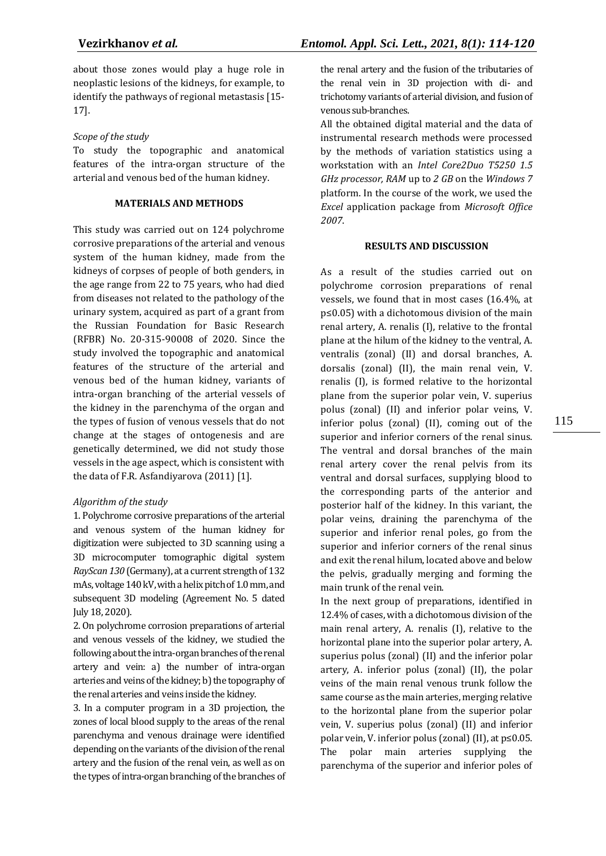about those zones would play a huge role in neoplastic lesions of the kidneys, for example, to identify the pathways of regional metastasis [15- 17].

## *Scope of the study*

To study the topographic and anatomical features of the intra-organ structure of the arterial and venous bed of the human kidney.

#### **MATERIALS AND METHODS**

This study was carried out on 124 polychrome corrosive preparations of the arterial and venous system of the human kidney, made from the kidneys of corpses of people of both genders, in the age range from 22 to 75 years, who had died from diseases not related to the pathology of the urinary system, acquired as part of a grant from the Russian Foundation for Basic Research (RFBR) No. 20-315-90008 of 2020. Since the study involved the topographic and anatomical features of the structure of the arterial and venous bed of the human kidney, variants of intra-organ branching of the arterial vessels of the kidney in the parenchyma of the organ and the types of fusion of venous vessels that do not change at the stages of ontogenesis and are genetically determined, we did not study those vessels in the age aspect, which is consistent with the data of F.R. Asfandiyarova (2011) [1].

# *Algorithm of the study*

1. Polychrome corrosive preparations of the arterial and venous system of the human kidney for digitization were subjected to 3D scanning using a 3D microcomputer tomographic digital system *RayScan 130* (Germany), at a current strength of 132 mAs, voltage 140 kV, with a helix pitch of 1.0 mm, and subsequent 3D modeling (Agreement No. 5 dated July 18, 2020).

2. On polychrome corrosion preparations of arterial and venous vessels of the kidney, we studied the following about the intra-organ branches of the renal artery and vein: a) the number of intra-organ arteries and veins of the kidney; b) the topography of the renal arteries and veins inside the kidney.

3. In a computer program in a 3D projection, the zones of local blood supply to the areas of the renal parenchyma and venous drainage were identified depending on the variants of the division of the renal artery and the fusion of the renal vein, as well as on the types of intra-organ branching of the branches of the renal artery and the fusion of the tributaries of the renal vein in 3D projection with di- and trichotomy variants of arterial division, and fusion of venous sub-branches.

All the obtained digital material and the data of instrumental research methods were processed by the methods of variation statistics using a workstation with an *Intel Core2Duo T5250 1.5 GHz processor, RAM* up to *2 GB* on the *Windows 7*  platform. In the course of the work, we used the *Excel* application package from *Microsoft Office 2007*.

### **RESULTS AND DISCUSSION**

As a result of the studies carried out on polychrome corrosion preparations of renal vessels, we found that in most cases (16.4%, at p≤0.05) with a dichotomous division of the main renal artery, A. renalis (I), relative to the frontal plane at the hilum of the kidney to the ventral, A. ventralis (zonal) (II) and dorsal branches, A. dorsalis (zonal) (II), the main renal vein, V. renalis (I), is formed relative to the horizontal plane from the superior polar vein, V. superius polus (zonal) (II) and inferior polar veins, V. inferior polus (zonal) (II), coming out of the superior and inferior corners of the renal sinus. The ventral and dorsal branches of the main renal artery cover the renal pelvis from its ventral and dorsal surfaces, supplying blood to the corresponding parts of the anterior and posterior half of the kidney. In this variant, the polar veins, draining the parenchyma of the superior and inferior renal poles, go from the superior and inferior corners of the renal sinus and exit the renal hilum, located above and below the pelvis, gradually merging and forming the main trunk of the renal vein.

In the next group of preparations, identified in 12.4% of cases, with a dichotomous division of the main renal artery, A. renalis (I), relative to the horizontal plane into the superior polar artery, A. superius polus (zonal) (II) and the inferior polar artery, A. inferior polus (zonal) (II), the polar veins of the main renal venous trunk follow the same course as the main arteries, merging relative to the horizontal plane from the superior polar vein, V. superius polus (zonal) (II) and inferior polar vein, V. inferior polus (zonal) (II), at p≤0.05. The polar main arteries supplying the parenchyma of the superior and inferior poles of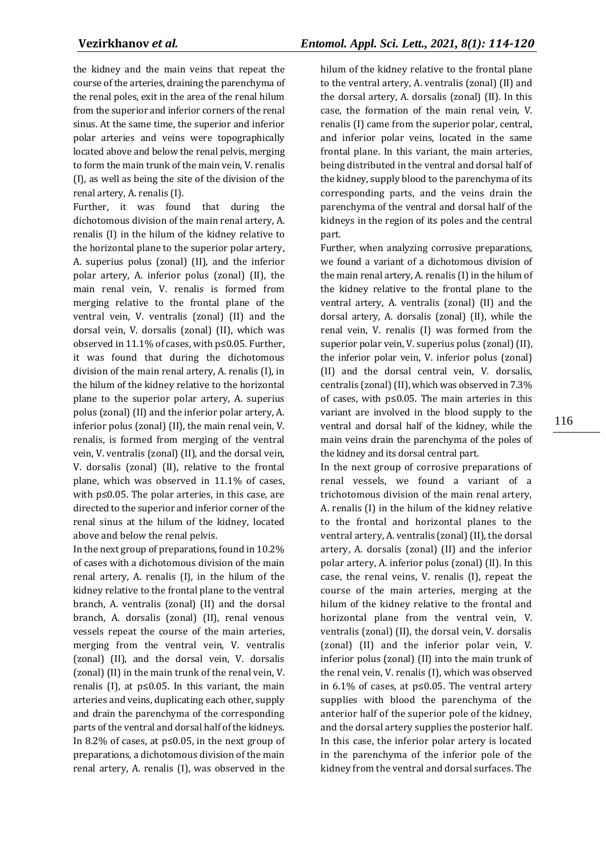the kidney and the main veins that repeat the course of the arteries, draining the parenchyma of the renal poles, exit in the area of the renal hilum from the superior and inferior corners of the renal sinus. At the same time, the superior and inferior polar arteries and veins were topographically located above and below the renal pelvis, merging to form the main trunk of the main vein, V. renalis (I), as well as being the site of the division of the renal artery, A. renalis (I).

Further, it was found that during the dichotomous division of the main renal artery, A. renalis (I) in the hilum of the kidney relative to the horizontal plane to the superior polar artery, A. superius polus (zonal) (II), and the inferior polar artery, A. inferior polus (zonal) (II), the main renal vein, V. renalis is formed from merging relative to the frontal plane of the ventral vein, V. ventralis (zonal) (II) and the dorsal vein, V. dorsalis (zonal) (II), which was observed in 11.1% of cases, with p≤0.05. Further, it was found that during the dichotomous division of the main renal artery, A. renalis (I), in the hilum of the kidney relative to the horizontal plane to the superior polar artery, A. superius polus (zonal) (II) and the inferior polar artery, A. inferior polus (zonal) (II), the main renal vein, V. renalis, is formed from merging of the ventral vein, V. ventralis (zonal) (II), and the dorsal vein, V. dorsalis (zonal) (II), relative to the frontal plane, which was observed in 11.1% of cases, with p≤0.05. The polar arteries, in this case, are directed to the superior and inferior corner of the renal sinus at the hilum of the kidney, located above and below the renal pelvis.

In the next group of preparations, found in 10.2% of cases with a dichotomous division of the main renal artery, A. renalis (I), in the hilum of the kidney relative to the frontal plane to the ventral branch, A. ventralis (zonal) (II) and the dorsal branch, A. dorsalis (zonal) (II), renal venous vessels repeat the course of the main arteries, merging from the ventral vein, V. ventralis (zonal) (II), and the dorsal vein, V. dorsalis (zonal) (II) in the main trunk of the renal vein, V. renalis (I), at  $p \le 0.05$ . In this variant, the main arteries and veins, duplicating each other, supply and drain the parenchyma of the corresponding parts of the ventral and dorsal half of the kidneys. In 8.2% of cases, at p≤0.05, in the next group of preparations, a dichotomous division of the main renal artery, A. renalis (I), was observed in the

hilum of the kidney relative to the frontal plane to the ventral artery, A. ventralis (zonal) (II) and the dorsal artery, A. dorsalis (zonal) (II). In this case, the formation of the main renal vein, V. renalis (I) came from the superior polar, central, and inferior polar veins, located in the same frontal plane. In this variant, the main arteries, being distributed in the ventral and dorsal half of the kidney, supply blood to the parenchyma of its corresponding parts, and the veins drain the parenchyma of the ventral and dorsal half of the kidneys in the region of its poles and the central part.

Further, when analyzing corrosive preparations, we found a variant of a dichotomous division of the main renal artery, A. renalis (I) in the hilum of the kidney relative to the frontal plane to the ventral artery, A. ventralis (zonal) (II) and the dorsal artery, A. dorsalis (zonal) (II), while the renal vein, V. renalis (I) was formed from the superior polar vein, V. superius polus (zonal) (II), the inferior polar vein, V. inferior polus (zonal) (II) and the dorsal central vein, V. dorsalis, centralis (zonal) (II), which was observed in 7.3% of cases, with p≤0.05. The main arteries in this variant are involved in the blood supply to the ventral and dorsal half of the kidney, while the main veins drain the parenchyma of the poles of the kidney and its dorsal central part.

In the next group of corrosive preparations of renal vessels, we found a variant of a trichotomous division of the main renal artery, A. renalis (I) in the hilum of the kidney relative to the frontal and horizontal planes to the ventral artery, A. ventralis (zonal) (II), the dorsal artery, A. dorsalis (zonal) (II) and the inferior polar artery, A. inferior polus (zonal) (II). In this case, the renal veins, V. renalis (I), repeat the course of the main arteries, merging at the hilum of the kidney relative to the frontal and horizontal plane from the ventral vein, V. ventralis (zonal) (II), the dorsal vein, V. dorsalis (zonal) (II) and the inferior polar vein, V. inferior polus (zonal) (II) into the main trunk of the renal vein, V. renalis (I), which was observed in 6.1% of cases, at p≤0.05. The ventral artery supplies with blood the parenchyma of the anterior half of the superior pole of the kidney, and the dorsal artery supplies the posterior half. In this case, the inferior polar artery is located in the parenchyma of the inferior pole of the kidney from the ventral and dorsal surfaces. The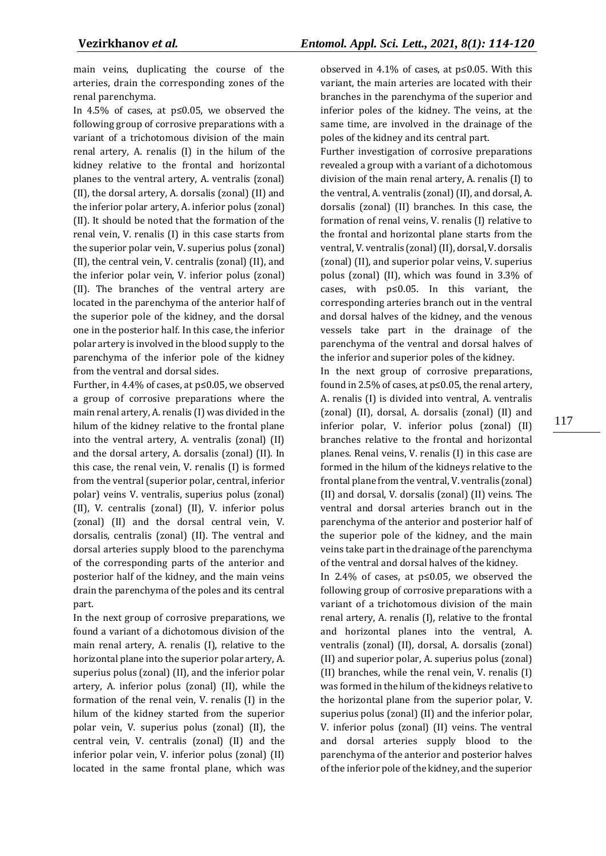main veins, duplicating the course of the arteries, drain the corresponding zones of the renal parenchyma.

In 4.5% of cases, at p≤0.05, we observed the following group of corrosive preparations with a variant of a trichotomous division of the main renal artery, A. renalis (I) in the hilum of the kidney relative to the frontal and horizontal planes to the ventral artery, A. ventralis (zonal) (II), the dorsal artery, A. dorsalis (zonal) (II) and the inferior polar artery, A. inferior polus (zonal) (II). It should be noted that the formation of the renal vein, V. renalis (I) in this case starts from the superior polar vein, V. superius polus (zonal) (II), the central vein, V. centralis (zonal) (II), and the inferior polar vein, V. inferior polus (zonal) (II). The branches of the ventral artery are located in the parenchyma of the anterior half of the superior pole of the kidney, and the dorsal one in the posterior half. In this case, the inferior polar artery is involved in the blood supply to the parenchyma of the inferior pole of the kidney from the ventral and dorsal sides.

Further, in 4.4% of cases, at p≤0.05, we observed a group of corrosive preparations where the main renal artery, A. renalis (I) was divided in the hilum of the kidney relative to the frontal plane into the ventral artery, A. ventralis (zonal) (II) and the dorsal artery, A. dorsalis (zonal) (II). In this case, the renal vein, V. renalis (I) is formed from the ventral (superior polar, central, inferior polar) veins V. ventralis, superius polus (zonal) (II), V. centralis (zonal) (II), V. inferior polus (zonal) (II) and the dorsal central vein, V. dorsalis, centralis (zonal) (II). The ventral and dorsal arteries supply blood to the parenchyma of the corresponding parts of the anterior and posterior half of the kidney, and the main veins drain the parenchyma of the poles and its central part.

In the next group of corrosive preparations, we found a variant of a dichotomous division of the main renal artery, A. renalis (I), relative to the horizontal plane into the superior polar artery, A. superius polus (zonal) (II), and the inferior polar artery, A. inferior polus (zonal) (II), while the formation of the renal vein, V. renalis (I) in the hilum of the kidney started from the superior polar vein, V. superius polus (zonal) (II), the central vein, V. centralis (zonal) (II) and the inferior polar vein, V. inferior polus (zonal) (II) located in the same frontal plane, which was observed in 4.1% of cases, at  $p \le 0.05$ . With this variant, the main arteries are located with their branches in the parenchyma of the superior and inferior poles of the kidney. The veins, at the same time, are involved in the drainage of the poles of the kidney and its central part.

Further investigation of corrosive preparations revealed a group with a variant of a dichotomous division of the main renal artery, A. renalis (I) to the ventral, A. ventralis (zonal) (II), and dorsal, A. dorsalis (zonal) (II) branches. In this case, the formation of renal veins, V. renalis (I) relative to the frontal and horizontal plane starts from the ventral, V. ventralis (zonal) (II), dorsal, V. dorsalis (zonal) (II), and superior polar veins, V. superius polus (zonal) (II), which was found in 3.3% of cases, with p≤0.05. In this variant, the corresponding arteries branch out in the ventral and dorsal halves of the kidney, and the venous vessels take part in the drainage of the parenchyma of the ventral and dorsal halves of the inferior and superior poles of the kidney.

In the next group of corrosive preparations, found in 2.5% of cases, at p≤0.05, the renal artery, A. renalis (I) is divided into ventral, A. ventralis (zonal) (II), dorsal, A. dorsalis (zonal) (II) and inferior polar, V. inferior polus (zonal) (II) branches relative to the frontal and horizontal planes. Renal veins, V. renalis (I) in this case are formed in the hilum of the kidneys relative to the frontal plane from the ventral, V. ventralis (zonal) (II) and dorsal, V. dorsalis (zonal) (II) veins. The ventral and dorsal arteries branch out in the parenchyma of the anterior and posterior half of the superior pole of the kidney, and the main veins take part in the drainage of the parenchyma of the ventral and dorsal halves of the kidney.

In 2.4% of cases, at p≤0.05, we observed the following group of corrosive preparations with a variant of a trichotomous division of the main renal artery, A. renalis (I), relative to the frontal and horizontal planes into the ventral, A. ventralis (zonal) (II), dorsal, A. dorsalis (zonal) (II) and superior polar, A. superius polus (zonal) (II) branches, while the renal vein, V. renalis (I) was formed in the hilum of the kidneys relative to the horizontal plane from the superior polar, V. superius polus (zonal) (II) and the inferior polar, V. inferior polus (zonal) (II) veins. The ventral and dorsal arteries supply blood to the parenchyma of the anterior and posterior halves of the inferior pole of the kidney, and the superior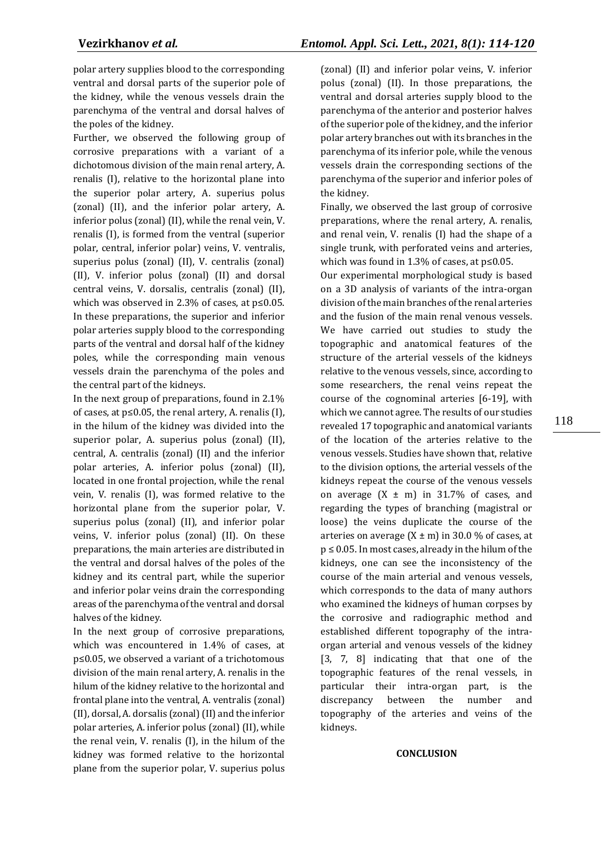polar artery supplies blood to the corresponding ventral and dorsal parts of the superior pole of the kidney, while the venous vessels drain the parenchyma of the ventral and dorsal halves of the poles of the kidney.

Further, we observed the following group of corrosive preparations with a variant of a dichotomous division of the main renal artery, A. renalis (I), relative to the horizontal plane into the superior polar artery, A. superius polus (zonal) (II), and the inferior polar artery, A. inferior polus (zonal) (II), while the renal vein, V. renalis (I), is formed from the ventral (superior polar, central, inferior polar) veins, V. ventralis, superius polus (zonal) (II), V. centralis (zonal) (II), V. inferior polus (zonal) (II) and dorsal central veins, V. dorsalis, centralis (zonal) (II), which was observed in 2.3% of cases, at p≤0.05. In these preparations, the superior and inferior polar arteries supply blood to the corresponding parts of the ventral and dorsal half of the kidney poles, while the corresponding main venous vessels drain the parenchyma of the poles and the central part of the kidneys.

In the next group of preparations, found in 2.1% of cases, at p≤0.05, the renal artery, A. renalis (I), in the hilum of the kidney was divided into the superior polar, A. superius polus (zonal) (II), central, A. centralis (zonal) (II) and the inferior polar arteries, A. inferior polus (zonal) (II), located in one frontal projection, while the renal vein, V. renalis (I), was formed relative to the horizontal plane from the superior polar, V. superius polus (zonal) (II), and inferior polar veins, V. inferior polus (zonal) (II). On these preparations, the main arteries are distributed in the ventral and dorsal halves of the poles of the kidney and its central part, while the superior and inferior polar veins drain the corresponding areas of the parenchyma of the ventral and dorsal halves of the kidney.

In the next group of corrosive preparations, which was encountered in 1.4% of cases, at p≤0.05, we observed a variant of a trichotomous division of the main renal artery, A. renalis in the hilum of the kidney relative to the horizontal and frontal plane into the ventral, A. ventralis (zonal) (II), dorsal, A. dorsalis (zonal) (II) and the inferior polar arteries, A. inferior polus (zonal) (II), while the renal vein, V. renalis (I), in the hilum of the kidney was formed relative to the horizontal plane from the superior polar, V. superius polus

(zonal) (II) and inferior polar veins, V. inferior polus (zonal) (II). In those preparations, the ventral and dorsal arteries supply blood to the parenchyma of the anterior and posterior halves of the superior pole of the kidney, and the inferior polar artery branches out with its branches in the parenchyma of its inferior pole, while the venous vessels drain the corresponding sections of the parenchyma of the superior and inferior poles of the kidney.

Finally, we observed the last group of corrosive preparations, where the renal artery, A. renalis, and renal vein, V. renalis (I) had the shape of a single trunk, with perforated veins and arteries, which was found in 1.3% of cases, at  $p \le 0.05$ .

Our experimental morphological study is based on a 3D analysis of variants of the intra-organ division of the main branches of the renal arteries and the fusion of the main renal venous vessels. We have carried out studies to study the topographic and anatomical features of the structure of the arterial vessels of the kidneys relative to the venous vessels, since, according to some researchers, the renal veins repeat the course of the cognominal arteries [6-19], with which we cannot agree. The results of our studies revealed 17 topographic and anatomical variants of the location of the arteries relative to the venous vessels. Studies have shown that, relative to the division options, the arterial vessels of the kidneys repeat the course of the venous vessels on average  $(X \pm m)$  in 31.7% of cases, and regarding the types of branching (magistral or loose) the veins duplicate the course of the arteries on average  $(X \pm m)$  in 30.0 % of cases, at p ≤ 0.05. In most cases, already in the hilum of the kidneys, one can see the inconsistency of the course of the main arterial and venous vessels, which corresponds to the data of many authors who examined the kidneys of human corpses by the corrosive and radiographic method and established different topography of the intraorgan arterial and venous vessels of the kidney [3, 7, 8] indicating that that one of the topographic features of the renal vessels, in particular their intra-organ part, is the discrepancy between the number and topography of the arteries and veins of the kidneys.

### **CONCLUSION**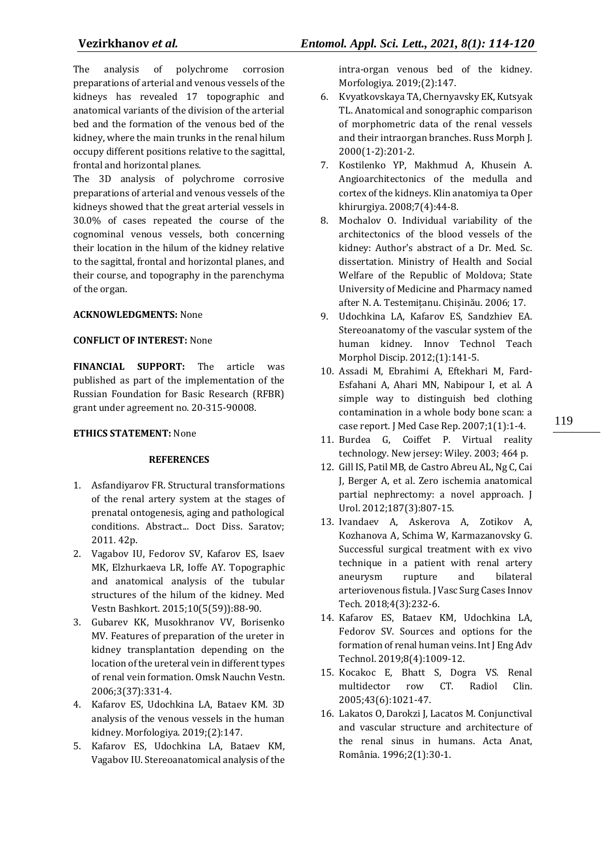The analysis of polychrome corrosion preparations of arterial and venous vessels of the kidneys has revealed 17 topographic and anatomical variants of the division of the arterial bed and the formation of the venous bed of the kidney, where the main trunks in the renal hilum occupy different positions relative to the sagittal, frontal and horizontal planes.

The 3D analysis of polychrome corrosive preparations of arterial and venous vessels of the kidneys showed that the great arterial vessels in 30.0% of cases repeated the course of the cognominal venous vessels, both concerning their location in the hilum of the kidney relative to the sagittal, frontal and horizontal planes, and their course, and topography in the parenchyma of the organ.

# **ACKNOWLEDGMENTS:** None

# **CONFLICT OF INTEREST:** None

**FINANCIAL SUPPORT:** The article was published as part of the implementation of the Russian Foundation for Basic Research (RFBR) grant under agreement no. 20-315-90008.

# **ETHICS STATEMENT:** None

# **REFERENCES**

- 1. Asfandiyarov FR. Structural transformations of the renal artery system at the stages of prenatal ontogenesis, aging and pathological conditions. Abstract... Doct Diss. Saratov; 2011. 42p.
- 2. Vagabov IU, Fedorov SV, Kafarov ES, Isaev MK, Elzhurkaeva LR, Ioffe AY. Topographic and anatomical analysis of the tubular structures of the hilum of the kidney. Med Vestn Bashkort. 2015;10(5(59)):88-90.
- 3. Gubarev KK, Musokhranov VV, Borisenko MV. Features of preparation of the ureter in kidney transplantation depending on the location of the ureteral vein in different types of renal vein formation. Omsk Nauchn Vestn. 2006;3(37):331-4.
- 4. Kafarov ES, Udochkina LA, Bataev KM. 3D analysis of the venous vessels in the human kidney. Morfologiya. 2019;(2):147.
- 5. Kafarov ES, Udochkina LA, Bataev KM, Vagabov IU. Stereoanatomical analysis of the

intra-organ venous bed of the kidney. Morfologiya. 2019;(2):147.

- 6. Kvyatkovskaya TA, Chernyavsky EK, Kutsyak TL. Anatomical and sonographic comparison of morphometric data of the renal vessels and their intraorgan branches. Russ Morph J. 2000(1-2):201-2.
- 7. Kostilenko YP, Makhmud A, Khusein A. Angioarchitectonics of the medulla and cortex of the kidneys. Klіn anatomіya ta Oper khіrurgіya. 2008;7(4):44-8.
- 8. Mochalov O. Individual variability of the architectonics of the blood vessels of the kidney: Author's abstract of a Dr. Med. Sc. dissertation. Ministry of Health and Social Welfare of the Republic of Moldova; State University of Medicine and Pharmacy named after N. A. Testemițanu. Chișinău. 2006; 17.
- 9. Udochkina LA, Kafarov ES, Sandzhiev EA. Stereoanatomy of the vascular system of the human kidney. Innov Technol Teach Morphol Discip. 2012;(1):141-5.
- 10. Assadi M, Ebrahimi A, Eftekhari M, Fard-Esfahani A, Ahari MN, Nabipour I, et al. A simple way to distinguish bed clothing contamination in a whole body bone scan: a case report. J Med Case Rep. 2007;1(1):1-4.
- 11. Burdea G, Coiffet P. Virtual reality technology. New jersey: Wiley. 2003; 464 p.
- 12. Gill IS, Patil MB, de Castro Abreu AL, Ng C, Cai J, Berger A, et al. Zero ischemia anatomical partial nephrectomy: a novel approach. J Urol. 2012;187(3):807-15.
- 13. Ivandaev A, Askerova A, Zotikov A, Kozhanova A, Schima W, Karmazanovsky G. Successful surgical treatment with ex vivo technique in a patient with renal artery aneurysm rupture and bilateral arteriovenous fistula. J Vasc Surg Cases Innov Tech. 2018;4(3):232-6.
- 14. Kafarov ES, Bataev KM, Udochkina LA, Fedorov SV. Sources and options for the formation of renal human veins. Int J Eng Adv Technol. 2019;8(4):1009-12.
- 15. Kocakoc E, Bhatt S, Dogra VS. Renal multidector row CT. Radiol Clin. 2005;43(6):1021-47.
- 16. Lakatos O, Darokzi J, Lacatos M. Conjunctival and vascular structure and architecture of the renal sinus in humans. Acta Anat, România. 1996;2(1):30-1.